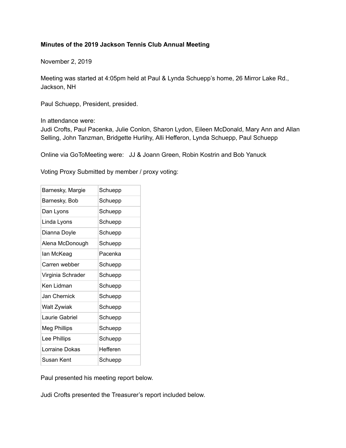## **Minutes of the 2019 Jackson Tennis Club Annual Meeting**

November 2, 2019

Meeting was started at 4:05pm held at Paul & Lynda Schuepp's home, 26 Mirror Lake Rd., Jackson, NH

Paul Schuepp, President, presided.

In attendance were:

Judi Crofts, Paul Pacenka, Julie Conlon, Sharon Lydon, Eileen McDonald, Mary Ann and Allan Selling, John Tanzman, Bridgette Hurlihy, Alli Hefferon, Lynda Schuepp, Paul Schuepp

Online via GoToMeeting were: JJ & Joann Green, Robin Kostrin and Bob Yanuck

Voting Proxy Submitted by member / proxy voting:

| Barnesky, Margie  | Schuepp  |
|-------------------|----------|
| Barnesky, Bob     | Schuepp  |
| Dan Lyons         | Schuepp  |
| Linda Lyons       | Schuepp  |
| Dianna Doyle      | Schuepp  |
| Alena McDonough   | Schuepp  |
| lan McKeag        | Pacenka  |
| Carren webber     | Schuepp  |
| Virginia Schrader | Schuepp  |
| Ken Lidman        | Schuepp  |
| Jan Chernick      | Schuepp  |
| Walt Zywiak       | Schuepp  |
| Laurie Gabriel    | Schuepp  |
| Meg Phillips      | Schuepp  |
| Lee Phillips      | Schuepp  |
| Lorraine Dokas    | Hefferen |
| Susan Kent        | Schuepp  |

Paul presented his meeting report below.

Judi Crofts presented the Treasurer's report included below.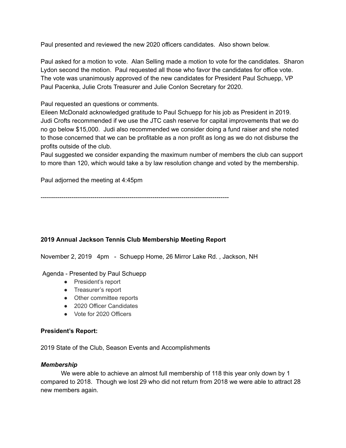Paul presented and reviewed the new 2020 officers candidates. Also shown below.

Paul asked for a motion to vote. Alan Selling made a motion to vote for the candidates. Sharon Lydon second the motion. Paul requested all those who favor the candidates for office vote. The vote was unanimously approved of the new candidates for President Paul Schuepp, VP Paul Pacenka, Julie Crots Treasurer and Julie Conlon Secretary for 2020.

## Paul requested an questions or comments.

Eileen McDonald acknowledged gratitude to Paul Schuepp for his job as President in 2019. Judi Crofts recommended if we use the JTC cash reserve for capital improvements that we do no go below \$15,000. Judi also recommended we consider doing a fund raiser and she noted to those concerned that we can be profitable as a non profit as long as we do not disburse the profits outside of the club.

Paul suggested we consider expanding the maximum number of members the club can support to more than 120, which would take a by law resolution change and voted by the membership.

Paul adjorned the meeting at 4:45pm

-------------------------------------------------------------------------------------------

## **2019 Annual Jackson Tennis Club Membership Meeting Report**

November 2, 2019 4pm - Schuepp Home, 26 Mirror Lake Rd. , Jackson, NH

Agenda - Presented by Paul Schuepp

- President's report
- Treasurer's report
- Other committee reports
- 2020 Officer Candidates
- Vote for 2020 Officers

### **President's Report:**

2019 State of the Club, Season Events and Accomplishments

### *Membership*

We were able to achieve an almost full membership of 118 this year only down by 1 compared to 2018. Though we lost 29 who did not return from 2018 we were able to attract 28 new members again.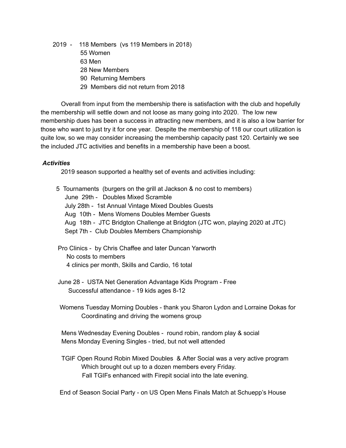- 2019 118 Members (vs 119 Members in 2018)
	- 55 Women
	- 63 Men
	- 28 New Members
	- 90 Returning Members
	- 29 Members did not return from 2018

Overall from input from the membership there is satisfaction with the club and hopefully the membership will settle down and not loose as many going into 2020. The low new membership dues has been a success in attracting new members, and it is also a low barrier for those who want to just try it for one year. Despite the membership of 118 our court utilization is quite low, so we may consider increasing the membership capacity past 120. Certainly we see the included JTC activities and benefits in a membership have been a boost.

## *Activities*

2019 season supported a healthy set of events and activities including:

5 Tournaments (burgers on the grill at Jackson & no cost to members) June 29th - Doubles Mixed Scramble July 28th - 1st Annual Vintage Mixed Doubles Guests Aug 10th - Mens Womens Doubles Member Guests Aug 18th - JTC Bridgton Challenge at Bridgton (JTC won, playing 2020 at JTC) Sept 7th - Club Doubles Members Championship

- Pro Clinics by Chris Chaffee and later Duncan Yarworth No costs to members 4 clinics per month, Skills and Cardio, 16 total
- June 28 USTA Net Generation Advantage Kids Program Free Successful attendance - 19 kids ages 8-12
- Womens Tuesday Morning Doubles thank you Sharon Lydon and Lorraine Dokas for Coordinating and driving the womens group

Mens Wednesday Evening Doubles - round robin, random play & social Mens Monday Evening Singles - tried, but not well attended

TGIF Open Round Robin Mixed Doubles & After Social was a very active program Which brought out up to a dozen members every Friday. Fall TGIFs enhanced with Firepit social into the late evening.

End of Season Social Party - on US Open Mens Finals Match at Schuepp's House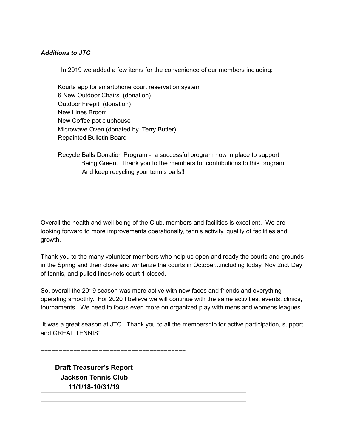### *Additions to JTC*

In 2019 we added a few items for the convenience of our members including:

Kourts app for smartphone court reservation system 6 New Outdoor Chairs (donation) Outdoor Firepit (donation) New Lines Broom New Coffee pot clubhouse Microwave Oven (donated by Terry Butler) Repainted Bulletin Board

Recycle Balls Donation Program - a successful program now in place to support Being Green. Thank you to the members for contributions to this program And keep recycling your tennis balls!!

Overall the health and well being of the Club, members and facilities is excellent. We are looking forward to more improvements operationally, tennis activity, quality of facilities and growth.

Thank you to the many volunteer members who help us open and ready the courts and grounds in the Spring and then close and winterize the courts in October...including today, Nov 2nd. Day of tennis, and pulled lines/nets court 1 closed.

So, overall the 2019 season was more active with new faces and friends and everything operating smoothly. For 2020 I believe we will continue with the same activities, events, clinics, tournaments. We need to focus even more on organized play with mens and womens leagues.

It was a great season at JTC. Thank you to all the membership for active participation, support and GREAT TENNIS!

========================================

| <b>Draft Treasurer's Report</b> |  |
|---------------------------------|--|
| <b>Jackson Tennis Club</b>      |  |
| 11/1/18-10/31/19                |  |
|                                 |  |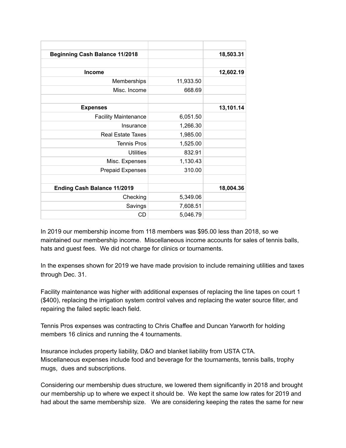| <b>Beginning Cash Balance 11/2018</b> |           | 18,503.31 |
|---------------------------------------|-----------|-----------|
|                                       |           |           |
| <b>Income</b>                         |           | 12,602.19 |
| Memberships                           | 11,933.50 |           |
| Misc. Income                          | 668.69    |           |
|                                       |           |           |
| <b>Expenses</b>                       |           | 13,101.14 |
| <b>Facility Maintenance</b>           | 6,051.50  |           |
| Insurance                             | 1,266.30  |           |
| Real Estate Taxes                     | 1,985.00  |           |
| <b>Tennis Pros</b>                    | 1,525.00  |           |
| <b>Utilities</b>                      | 832.91    |           |
| Misc. Expenses                        | 1,130.43  |           |
| <b>Prepaid Expenses</b>               | 310.00    |           |
|                                       |           |           |
| <b>Ending Cash Balance 11/2019</b>    |           | 18,004.36 |
| Checking                              | 5,349.06  |           |
| Savings                               | 7,608.51  |           |
| CD                                    | 5,046.79  |           |

In 2019 our membership income from 118 members was \$95.00 less than 2018, so we maintained our membership income. Miscellaneous income accounts for sales of tennis balls, hats and guest fees. We did not charge for clinics or tournaments.

In the expenses shown for 2019 we have made provision to include remaining utilities and taxes through Dec. 31.

Facility maintenance was higher with additional expenses of replacing the line tapes on court 1 (\$400), replacing the irrigation system control valves and replacing the water source filter, and repairing the failed septic leach field.

Tennis Pros expenses was contracting to Chris Chaffee and Duncan Yarworth for holding members 16 clinics and running the 4 tournaments.

Insurance includes property liability, D&O and blanket liability from USTA CTA. Miscellaneous expenses include food and beverage for the tournaments, tennis balls, trophy mugs, dues and subscriptions.

Considering our membership dues structure, we lowered them significantly in 2018 and brought our membership up to where we expect it should be. We kept the same low rates for 2019 and had about the same membership size. We are considering keeping the rates the same for new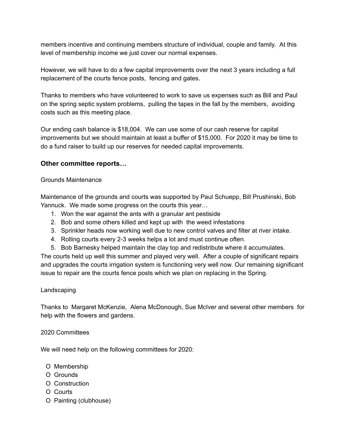members incentive and continuing members structure of individual, couple and family. At this level of membership income we just cover our normal expenses.

However, we will have to do a few capital improvements over the next 3 years including a full replacement of the courts fence posts, fencing and gates.

Thanks to members who have volunteered to work to save us expenses such as Bill and Paul on the spring septic system problems, pulling the tapes in the fall by the members, avoiding costs such as this meeting place.

Our ending cash balance is \$18,004. We can use some of our cash reserve for capital improvements but we should maintain at least a buffer of \$15,000. For 2020 it may be time to do a fund raiser to build up our reserves for needed capital improvements.

## **Other committee reports…**

## Grounds Maintenance

Maintenance of the grounds and courts was supported by Paul Schuepp, Bill Prushinski, Bob Yannuck. We made some progress on the courts this year…

- 1. Won the war against the ants with a granular ant pestiside
- 2. Bob and some others killed and kept up with the weed infestations
- 3. Sprinkler heads now working well due to new control valves and filter at river intake.
- 4. Rolling courts every 2-3 weeks helps a lot and must continue often.
- 5. Bob Barnesky helped maintain the clay top and redistribute where it accumulates.

The courts held up well this summer and played very well. After a couple of significant repairs and upgrades the courts irrigation system is functioning very well now. Our remaining significant issue to repair are the courts fence posts which we plan on replacing in the Spring.

### Landscaping

Thanks to Margaret McKenzie, Alena McDonough, Sue McIver and several other members for help with the flowers and gardens.

### 2020 Committees

We will need help on the following committees for 2020:

- O Membership
- O Grounds
- O Construction
- O Courts
- O Painting (clubhouse)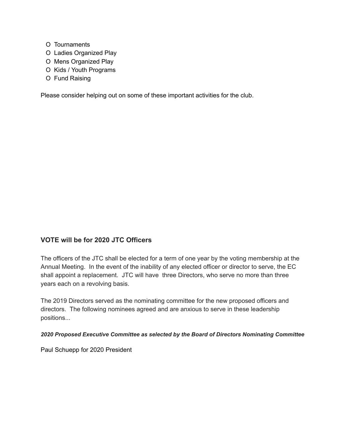- O Tournaments
- O Ladies Organized Play
- O Mens Organized Play
- O Kids / Youth Programs
- O Fund Raising

Please consider helping out on some of these important activities for the club.

## **VOTE will be for 2020 JTC Officers**

The officers of the JTC shall be elected for a term of one year by the voting membership at the Annual Meeting. In the event of the inability of any elected officer or director to serve, the EC shall appoint a replacement. JTC will have three Directors, who serve no more than three years each on a revolving basis.

The 2019 Directors served as the nominating committee for the new proposed officers and directors. The following nominees agreed and are anxious to serve in these leadership positions...

*2020 Proposed Executive Committee as selected by the Board of Directors Nominating Committee*

Paul Schuepp for 2020 President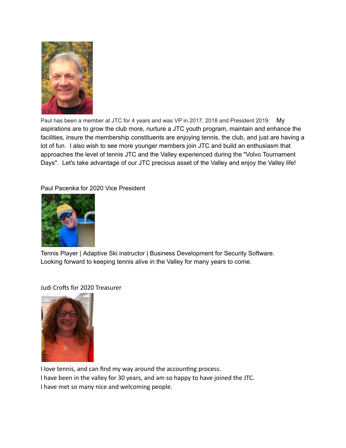

Paul has been a member at JTC for 4 years and was VP in 2017, 2018 and President 2019. My aspirations are to grow the club more, nurture a JTC youth program, maintain and enhance the facilities, insure the membership constituents are enjoying tennis, the club, and just are having a lot of fun. I also wish to see more younger members join JTC and build an enthusiasm that approaches the level of tennis JTC and the Valley experienced during the "Volvo Tournament Days". Let's take advantage of our JTC precious asset of the Valley and enjoy the Valley life!

Paul Pacenka for 2020 Vice President



Tennis Player | Adaptive Ski instructor | Business Development for Security Software. Looking forward to keeping tennis alive in the Valley for many years to come.

Judi Crofts for 2020 Treasurer



I love tennis, and can find my way around the accounting process. I have been in the valley for 30 years, and am so happy to have joined the JTC. I have met so many nice and welcoming people.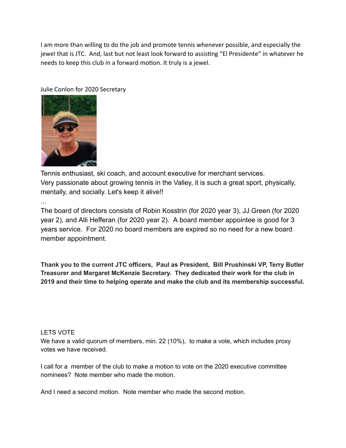I am more than willing to do the job and promote tennis whenever possible, and especially the jewel that is JTC. And, last but not least look forward to assisting "El Presidente" in whatever he needs to keep this club in a forward motion. It truly is a jewel.

Julie Conlon for 2020 Secretary



Tennis enthusiast, ski coach, and account executive for merchant services. Very passionate about growing tennis in the Valley, it is such a great sport, physically, mentally, and socially. Let's keep it alive!!

...

The board of directors consists of Robin Kosstrin (for 2020 year 3), JJ Green (for 2020 year 2), and Alli Hefferan (for 2020 year 2). A board member appointee is good for 3 years service. For 2020 no board members are expired so no need for a new board member appointment.

**Thank you to the current JTC officers, Paul as President, Bill Prushinski VP, Terry Butler Treasurer and Margaret McKenzie Secretary. They dedicated their work for the club in 2019 and their time to helping operate and make the club and its membership successful.**

### LETS VOTE

We have a valid quorum of members, min. 22 (10%), to make a vote, which includes proxy votes we have received.

I call for a member of the club to make a motion to vote on the 2020 executive committee nominees? Note member who made the motion.

And I need a second motion. Note member who made the second motion.